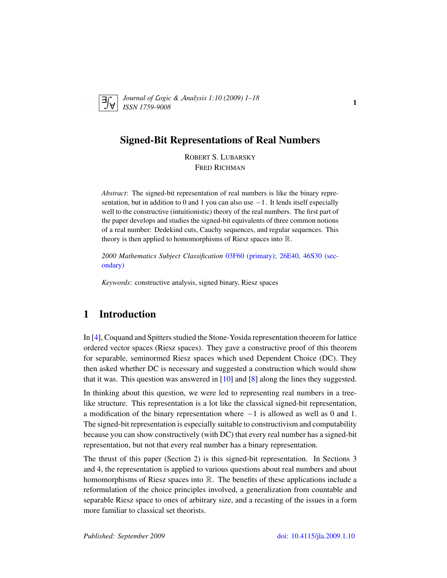

*Journal of* L*ogic &* A*nalysis 1:10 (2009) 1–18 ISSN 1759-9008* 110 12009) 1 10

## Signed-Bit Representations of Real Numbers

ROBERT S. LUBARSKY FRED RICHMAN

*Abstract*: The signed-bit representation of real numbers is like the binary representation, but in addition to 0 and 1 you can also use  $-1$ . It lends itself especially well to the constructive (intuitionistic) theory of the real numbers. The first part of the paper develops and studies the signed-bit equivalents of three common notions of a real number: Dedekind cuts, Cauchy sequences, and regular sequences. This theory is then applied to homomorphisms of Riesz spaces into  $\mathbb{R}$ .

*2000 Mathematics Subject Classification* [03F60 \(primary\); 26E40, 46S30 \(sec](http://www.ams.org/mathscinet/search/mscdoc.html?code=03F60,(26E40, 46S30))[ondary\)](http://www.ams.org/mathscinet/search/mscdoc.html?code=03F60,(26E40, 46S30))

*Keywords*: constructive analysis, signed binary, Riesz spaces

# 1 Introduction

In [\[4\]](#page-16-0), Coquand and Spitters studied the Stone-Yosida representation theorem for lattice ordered vector spaces (Riesz spaces). They gave a constructive proof of this theorem for separable, seminormed Riesz spaces which used Dependent Choice (DC). They then asked whether DC is necessary and suggested a construction which would show that it was. This question was answered in  $[10]$  and  $[8]$  along the lines they suggested.

In thinking about this question, we were led to representing real numbers in a treelike structure. This representation is a lot like the classical signed-bit representation, a modification of the binary representation where −1 is allowed as well as 0 and 1. The signed-bit representation is especially suitable to constructivism and computability because you can show constructively (with DC) that every real number has a signed-bit representation, but not that every real number has a binary representation.

The thrust of this paper (Section 2) is this signed-bit representation. In Sections 3 and 4, the representation is applied to various questions about real numbers and about homomorphisms of Riesz spaces into  $\mathbb R$ . The benefits of these applications include a reformulation of the choice principles involved, a generalization from countable and separable Riesz space to ones of arbitrary size, and a recasting of the issues in a form more familiar to classical set theorists.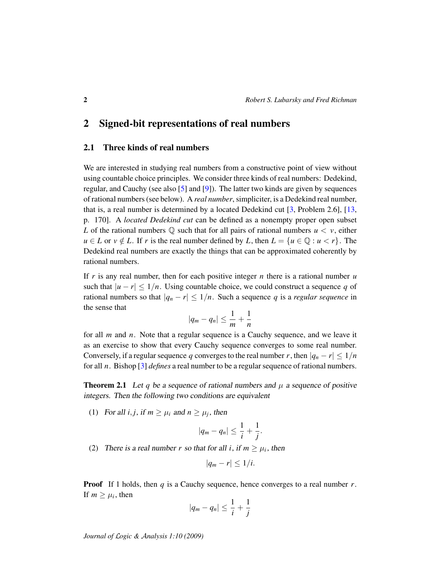### 2 Signed-bit representations of real numbers

#### 2.1 Three kinds of real numbers

We are interested in studying real numbers from a constructive point of view without using countable choice principles. We consider three kinds of real numbers: Dedekind, regular, and Cauchy (see also [\[5\]](#page-16-3) and [\[9\]](#page-16-4)). The latter two kinds are given by sequences of rational numbers (see below). A *real number*, simpliciter, is a Dedekind real number, that is, a real number is determined by a located Dedekind cut  $\lceil 3 \rceil$ , Problem 2.6,  $\lceil 13 \rceil$ , p. 170]. A *located Dedekind cut* can be defined as a nonempty proper open subset *L* of the rational numbers  $\mathbb Q$  such that for all pairs of rational numbers  $u < v$ , either *u* ∈ *L* or *v* ∉ *L*. If *r* is the real number defined by *L*, then  $L = \{u \in \mathbb{Q} : u < r\}$ . The Dedekind real numbers are exactly the things that can be approximated coherently by rational numbers.

If  $r$  is any real number, then for each positive integer  $n$  there is a rational number  $u$ such that  $|u - r| \leq 1/n$ . Using countable choice, we could construct a sequence q of rational numbers so that  $|q_n - r| \leq 1/n$ . Such a sequence q is a *regular sequence* in the sense that

$$
|q_m-q_n|\leq \frac{1}{m}+\frac{1}{n}
$$

for all *m* and *n*. Note that a regular sequence is a Cauchy sequence, and we leave it as an exercise to show that every Cauchy sequence converges to some real number. Conversely, if a regular sequence *q* converges to the real number *r*, then  $|q_n - r| \leq 1/n$ for all *n*. Bishop [\[3\]](#page-16-5) *defines* a real number to be a regular sequence of rational numbers.

<span id="page-1-0"></span>**Theorem 2.1** Let q be a sequence of rational numbers and  $\mu$  a sequence of positive integers. Then the following two conditions are equivalent

(1) For all *i*, *j*, if  $m \ge \mu_i$  and  $n \ge \mu_j$ , then

$$
|q_m-q_n|\leq \frac{1}{i}+\frac{1}{j}.
$$

(2) There is a real number *r* so that for all *i*, if  $m \ge \mu_i$ , then

$$
|q_m-r|\leq 1/i.
$$

Proof If 1 holds, then *q* is a Cauchy sequence, hence converges to a real number *r*. If  $m \geq \mu_i$ , then

$$
|q_m-q_n|\leq \frac{1}{i}+\frac{1}{j}
$$

*Journal of* L*ogic &* A*nalysis 1:10 (2009)*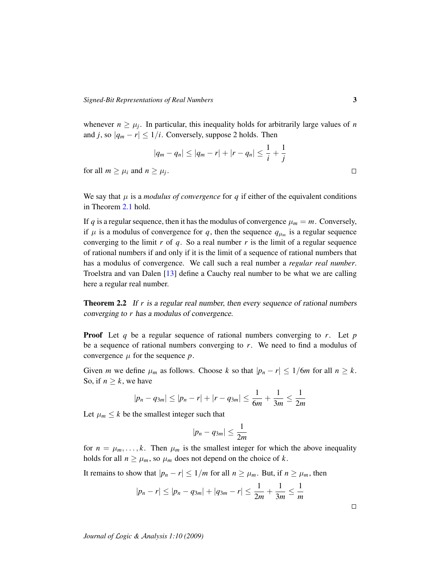whenever  $n \geq \mu_j$ . In particular, this inequality holds for arbitrarily large values of *n* and *j*, so  $|q_m - r| \leq 1/i$ . Conversely, suppose 2 holds. Then

$$
|q_m - q_n| \le |q_m - r| + |r - q_n| \le \frac{1}{i} + \frac{1}{j}
$$
  
and  $n > \mu_i$ .

for all  $m \geq \mu_i$  and .

We say that  $\mu$  is a *modulus of convergence* for  $q$  if either of the equivalent conditions in Theorem [2.1](#page-1-0) hold.

If *q* is a regular sequence, then it has the modulus of convergence  $\mu_m = m$ . Conversely, if  $\mu$  is a modulus of convergence for q, then the sequence  $q_{\mu_m}$  is a regular sequence converging to the limit  $r$  of  $q$ . So a real number  $r$  is the limit of a regular sequence of rational numbers if and only if it is the limit of a sequence of rational numbers that has a modulus of convergence. We call such a real number a *regular real number*. Troelstra and van Dalen [\[13\]](#page-17-0) define a Cauchy real number to be what we are calling here a regular real number.

**Theorem 2.2** If r is a regular real number, then every sequence of rational numbers converging to *r* has a modulus of convergence.

Proof Let *q* be a regular sequence of rational numbers converging to *r*. Let *p* be a sequence of rational numbers converging to *r*. We need to find a modulus of convergence  $\mu$  for the sequence  $p$ .

Given *m* we define  $\mu_m$  as follows. Choose *k* so that  $|p_n - r| \leq 1/6m$  for all  $n \geq k$ . So, if  $n \geq k$ , we have

$$
|p_n - q_{3m}| \le |p_n - r| + |r - q_{3m}| \le \frac{1}{6m} + \frac{1}{3m} \le \frac{1}{2m}
$$

Let  $\mu_m \leq k$  be the smallest integer such that

$$
|p_n-q_{3m}|\leq \frac{1}{2m}
$$

for  $n = \mu_m, \ldots, k$ . Then  $\mu_m$  is the smallest integer for which the above inequality holds for all  $n \geq \mu_m$ , so  $\mu_m$  does not depend on the choice of *k*.

It remains to show that  $|p_n - r| \leq 1/m$  for all  $n \geq \mu_m$ . But, if  $n \geq \mu_m$ , then

$$
|p_n - r| \le |p_n - q_{3m}| + |q_{3m} - r| \le \frac{1}{2m} + \frac{1}{3m} \le \frac{1}{m}
$$

 $\Box$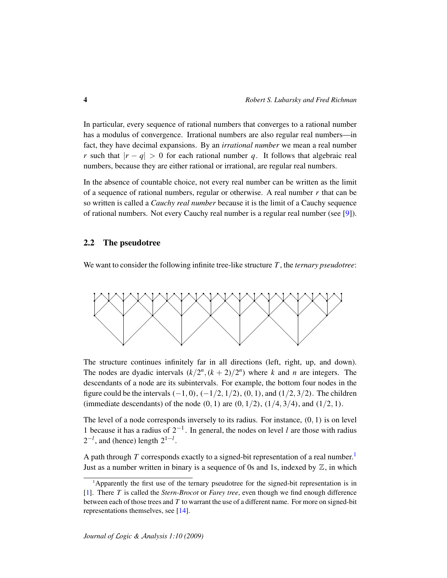In particular, every sequence of rational numbers that converges to a rational number has a modulus of convergence. Irrational numbers are also regular real numbers—in fact, they have decimal expansions. By an *irrational number* we mean a real number *r* such that  $|r - q| > 0$  for each rational number *q*. It follows that algebraic real numbers, because they are either rational or irrational, are regular real numbers.

In the absence of countable choice, not every real number can be written as the limit of a sequence of rational numbers, regular or otherwise. A real number *r* that can be so written is called a *Cauchy real number* because it is the limit of a Cauchy sequence of rational numbers. Not every Cauchy real number is a regular real number (see [\[9\]](#page-16-4)).

#### 2.2 The pseudotree

We want to consider the following infinite tree-like structure *T* , the *ternary pseudotree*:



The structure continues infinitely far in all directions (left, right, up, and down). The nodes are dyadic intervals  $(k/2^n, (k + 2)/2^n)$  where *k* and *n* are integers. The descendants of a node are its subintervals. For example, the bottom four nodes in the figure could be the intervals  $(-1, 0)$ ,  $(-1/2, 1/2)$ ,  $(0, 1)$ , and  $(1/2, 3/2)$ . The children (immediate descendants) of the node  $(0, 1)$  are  $(0, 1/2)$ ,  $(1/4, 3/4)$ , and  $(1/2, 1)$ .

The level of a node corresponds inversely to its radius. For instance, (0, 1) is on level 1 because it has a radius of 2−<sup>1</sup> . In general, the nodes on level *l* are those with radius  $2^{-l}$ , and (hence) length  $2^{1-l}$ .

A path through *T* corresponds exactly to a signed-bit representation of a real number.<sup>[1](#page-3-0)</sup> Just as a number written in binary is a sequence of 0s and 1s, indexed by  $\mathbb{Z}$ , in which

<span id="page-3-0"></span><sup>&</sup>lt;sup>1</sup>Apparently the first use of the ternary pseudotree for the signed-bit representation is in [\[1\]](#page-16-6). There *T* is called the *Stern-Brocot* or *Farey tree*, even though we find enough difference between each of those trees and *T* to warrant the use of a different name. For more on signed-bit representations themselves, see [\[14\]](#page-17-1).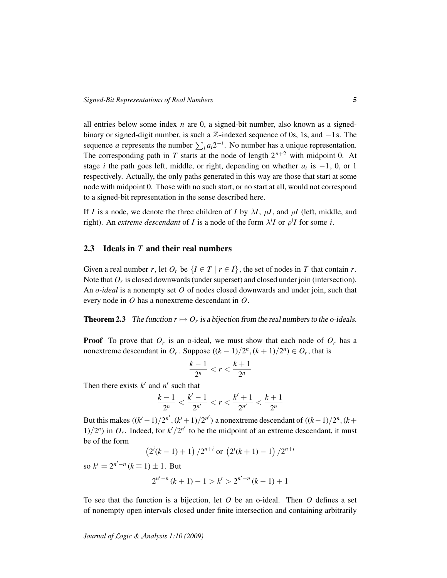all entries below some index *n* are 0, a signed-bit number, also known as a signedbinary or signed-digit number, is such a Z-indexed sequence of 0s, 1s, and −1s. The sequence *a* represents the number  $\sum_{i} a_i 2^{-i}$ . No number has a unique representation. The corresponding path in *T* starts at the node of length  $2^{n+2}$  with midpoint 0. At stage *i* the path goes left, middle, or right, depending on whether  $a_i$  is  $-1$ , 0, or 1 respectively. Actually, the only paths generated in this way are those that start at some node with midpoint 0. Those with no such start, or no start at all, would not correspond to a signed-bit representation in the sense described here.

If *I* is a node, we denote the three children of *I* by  $\lambda I$ ,  $\mu I$ , and  $\rho I$  (left, middle, and right). An *extreme descendant* of *I* is a node of the form  $\lambda^{i}I$  or  $\rho^{i}I$  for some *i*.

#### 2.3 Ideals in *T* and their real numbers

Given a real number *r*, let  $O_r$  be  $\{I \in T \mid r \in I\}$ , the set of nodes in *T* that contain *r*. Note that  $O_r$  is closed downwards (under superset) and closed under join (intersection). An *o-ideal* is a nonempty set *O* of nodes closed downwards and under join, such that every node in *O* has a nonextreme descendant in *O*.

**Theorem 2.3** The function  $r \mapsto O_r$  is a bijection from the real numbers to the o-ideals.

**Proof** To prove that  $O_r$  is an o-ideal, we must show that each node of  $O_r$  has a nonextreme descendant in  $O_r$ . Suppose  $((k-1)/2^n, (k+1)/2^n) \in O_r$ , that is

$$
\frac{k-1}{2^n} < r < \frac{k+1}{2^n}
$$

Then there exists  $k'$  and  $n'$  such that

$$
\frac{k-1}{2^n} < \frac{k'-1}{2^{n'}} < r < \frac{k'+1}{2^{n'}} < \frac{k+1}{2^n}
$$

But this makes  $((k'-1)/2^{n'}, (k'+1)/2^{n'})$  a nonextreme descendant of  $((k-1)/2^n, (k+1)/2^n)$  $1/2^n$ ) in  $O_r$ . Indeed, for  $k'/2^{n'}$  to be the midpoint of an extreme descendant, it must be of the form

 $\left(2^{i}(k-1)+1\right)/2^{n+i}$  or  $\left(2^{i}(k+1)-1\right)/2^{n+i}$ 

so  $k' = 2^{n'-n}$  ( $k \mp 1$ )  $\pm 1$ . But

$$
2^{n'-n}(k+1)-1 > k' > 2^{n'-n}(k-1)+1
$$

To see that the function is a bijection, let *O* be an o-ideal. Then *O* defines a set of nonempty open intervals closed under finite intersection and containing arbitrarily

*Journal of* L*ogic &* A*nalysis 1:10 (2009)*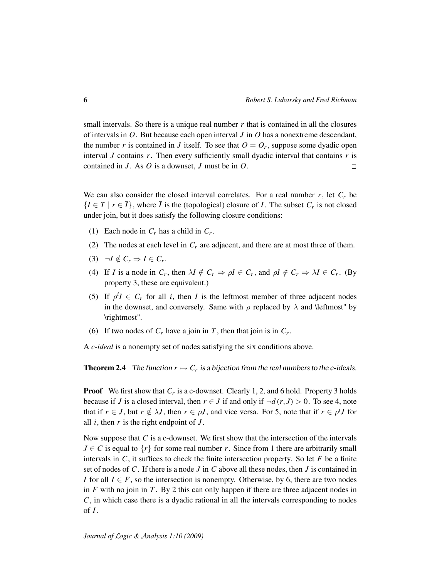small intervals. So there is a unique real number  $r$  that is contained in all the closures of intervals in *O*. But because each open interval *J* in *O* has a nonextreme descendant, the number *r* is contained in *J* itself. To see that  $O = O_r$ , suppose some dyadic open interval *J* contains *r*. Then every sufficiently small dyadic interval that contains *r* is contained in *J* . As *O* is a downset, *J* must be in *O*.  $\Box$ 

We can also consider the closed interval correlates. For a real number  $r$ , let  $C_r$  be  $\{I \in T \mid r \in \overline{I}\}\,$ , where  $\overline{I}$  is the (topological) closure of *I*. The subset  $C_r$  is not closed under join, but it does satisfy the following closure conditions:

- (1) Each node in  $C_r$  has a child in  $C_r$ .
- (2) The nodes at each level in  $C_r$  are adjacent, and there are at most three of them.
- (3)  $\neg I \notin C_r \Rightarrow I \in C_r$ .
- (4) If *I* is a node in  $C_r$ , then  $\lambda I \notin C_r \Rightarrow \rho I \in C_r$ , and  $\rho I \notin C_r \Rightarrow \lambda I \in C_r$ . (By property 3, these are equivalent.)
- (5) If  $\rho^i I \in C_r$  for all *i*, then *I* is the leftmost member of three adjacent nodes in the downset, and conversely. Same with  $\rho$  replaced by  $\lambda$  and \leftmost" by \rightmost".
- (6) If two nodes of  $C_r$  have a join in  $T$ , then that join is in  $C_r$ .

A *c-ideal* is a nonempty set of nodes satisfying the six conditions above.

**Theorem 2.4** The function  $r \mapsto C_r$  is a bijection from the real numbers to the c-ideals.

**Proof** We first show that  $C_r$  is a c-downset. Clearly 1, 2, and 6 hold. Property 3 holds because if *J* is a closed interval, then  $r \in J$  if and only if  $\neg d(r, J) > 0$ . To see 4, note that if  $r \in J$ , but  $r \notin \lambda J$ , then  $r \in \rho J$ , and vice versa. For 5, note that if  $r \in \rho^i J$  for all  $i$ , then  $r$  is the right endpoint of  $J$ .

Now suppose that *C* is a c-downset. We first show that the intersection of the intervals  $J \in \mathcal{C}$  is equal to  $\{r\}$  for some real number *r*. Since from 1 there are arbitrarily small intervals in  $C$ , it suffices to check the finite intersection property. So let  $F$  be a finite set of nodes of *C*. If there is a node *J* in *C* above all these nodes, then *J* is contained in *I* for all  $I \in F$ , so the intersection is nonempty. Otherwise, by 6, there are two nodes in  $F$  with no join in  $T$ . By 2 this can only happen if there are three adjacent nodes in *C*, in which case there is a dyadic rational in all the intervals corresponding to nodes of *I*.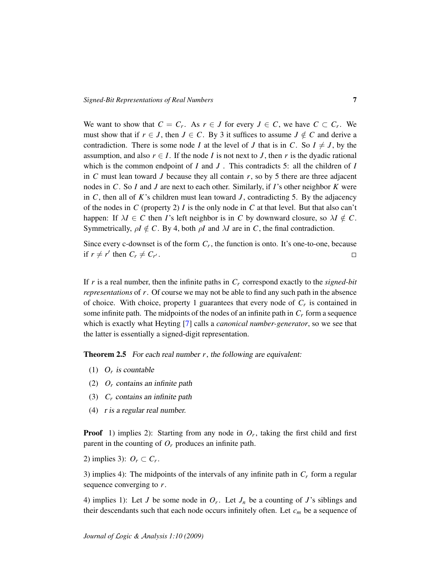We want to show that  $C = C_r$ . As  $r \in J$  for every  $J \in C$ , we have  $C \subset C_r$ . We must show that if  $r \in J$ , then  $J \in C$ . By 3 it suffices to assume  $J \notin C$  and derive a contradiction. There is some node *I* at the level of *J* that is in *C*. So  $I \neq J$ , by the assumption, and also  $r \in I$ . If the node *I* is not next to *J*, then *r* is the dyadic rational which is the common endpoint of *I* and *J* . This contradicts 5: all the children of *I* in  $C$  must lean toward  $J$  because they all contain  $r$ , so by 5 there are three adjacent nodes in *C*. So *I* and *J* are next to each other. Similarly, if *I*'s other neighbor *K* were in *C*, then all of *K*'s children must lean toward *J* , contradicting 5. By the adjacency of the nodes in *C* (property 2) *I* is the only node in *C* at that level. But that also can't happen: If  $\lambda I \in C$  then *I*'s left neighbor is in *C* by downward closure, so  $\lambda I \notin C$ . Symmetrically,  $\rho I \notin C$ . By 4, both  $\rho I$  and  $\lambda I$  are in *C*, the final contradiction.

Since every c-downset is of the form  $C_r$ , the function is onto. It's one-to-one, because if  $r \neq r'$  then  $C_r \neq C_{r'}$ .  $\Box$ 

If *r* is a real number, then the infinite paths in *C<sup>r</sup>* correspond exactly to the *signed-bit representations* of *r*. Of course we may not be able to find any such path in the absence of choice. With choice, property 1 guarantees that every node of *C<sup>r</sup>* is contained in some infinite path. The midpoints of the nodes of an infinite path in  $C_r$  form a sequence which is exactly what Heyting [\[7\]](#page-16-7) calls a *canonical number-generator*, so we see that the latter is essentially a signed-digit representation.

<span id="page-6-0"></span>**Theorem 2.5** For each real number *r*, the following are equivalent:

- (1)  $O_r$  is countable
- (2) *O<sup>r</sup>* contains an infinite path
- (3) *C<sup>r</sup>* contains an infinite path
- (4) r is a regular real number.

**Proof** 1) implies 2): Starting from any node in  $O_r$ , taking the first child and first parent in the counting of *O<sup>r</sup>* produces an infinite path.

2) implies 3):  $O_r \subset C_r$ .

3) implies 4): The midpoints of the intervals of any infinite path in *C<sup>r</sup>* form a regular sequence converging to *r*.

4) implies 1): Let *J* be some node in  $O_r$ . Let  $J_n$  be a counting of *J*'s siblings and their descendants such that each node occurs infinitely often. Let  $c_m$  be a sequence of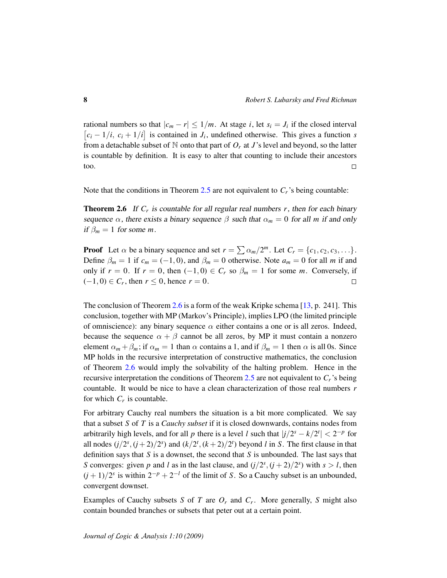rational numbers so that  $|c_m - r| \leq 1/m$ . At stage *i*, let  $s_i = J_i$  if the closed interval  $[c_i - 1/i, c_i + 1/i]$  is contained in  $J_i$ , undefined otherwise. This gives a function *s* from a detachable subset of  $N$  onto that part of  $O_r$  at *J*'s level and beyond, so the latter is countable by definition. It is easy to alter that counting to include their ancestors too.  $\Box$ 

<span id="page-7-0"></span>Note that the conditions in Theorem [2.5](#page-6-0) are not equivalent to  $C_r$ 's being countable:

**Theorem 2.6** If  $C_r$  is countable for all regular real numbers  $r$ , then for each binary sequence  $\alpha$ , there exists a binary sequence  $\beta$  such that  $\alpha_m = 0$  for all *m* if and only if  $\beta_m = 1$  for some *m*.

**Proof** Let  $\alpha$  be a binary sequence and set  $r = \sum \alpha_m/2^m$ . Let  $C_r = \{c_1, c_2, c_3, \dots\}$ . Define  $\beta_m = 1$  if  $c_m = (-1, 0)$ , and  $\beta_m = 0$  otherwise. Note  $a_m = 0$  for all *m* if and only if *r* = 0. If *r* = 0, then (−1,0) ∈  $C_r$  so  $\beta_m = 1$  for some *m*. Conversely, if  $(-1, 0) \in C_r$ , then *r* ≤ 0, hence *r* = 0.  $\Box$ 

The conclusion of Theorem [2.6](#page-7-0) is a form of the weak Kripke schema [\[13,](#page-17-0) p. 241]. This conclusion, together with MP (Markov's Principle), implies LPO (the limited principle of omniscience): any binary sequence  $\alpha$  either contains a one or is all zeros. Indeed, because the sequence  $\alpha + \beta$  cannot be all zeros, by MP it must contain a nonzero element  $\alpha_m + \beta_m$ ; if  $\alpha_m = 1$  than  $\alpha$  contains a 1, and if  $\beta_m = 1$  then  $\alpha$  is all 0s. Since MP holds in the recursive interpretation of constructive mathematics, the conclusion of Theorem [2.6](#page-7-0) would imply the solvability of the halting problem. Hence in the recursive interpretation the conditions of Theorem [2.5](#page-6-0) are not equivalent to  $C_r$ 's being countable. It would be nice to have a clean characterization of those real numbers *r* for which  $C_r$  is countable.

For arbitrary Cauchy real numbers the situation is a bit more complicated. We say that a subset *S* of *T* is a *Cauchy subset* if it is closed downwards, contains nodes from arbitrarily high levels, and for all *p* there is a level *l* such that  $|j/2^{s} - k/2^{t}| < 2^{-p}$  for all nodes  $(j/2<sup>s</sup>, (j + 2)/2<sup>s</sup>)$  and  $(k/2<sup>t</sup>, (k + 2)/2<sup>t</sup>)$  beyond *l* in *S*. The first clause in that definition says that *S* is a downset, the second that *S* is unbounded. The last says that *S* converges: given *p* and *l* as in the last clause, and  $(j/2<sup>s</sup>, (j + 2)/2<sup>s</sup>)$  with  $s > l$ , then  $(j + 1)/2^s$  is within  $2^{-p} + 2^{-l}$  of the limit of *S*. So a Cauchy subset is an unbounded, convergent downset.

Examples of Cauchy subsets *S* of *T* are *O<sup>r</sup>* and *C<sup>r</sup>* . More generally, *S* might also contain bounded branches or subsets that peter out at a certain point.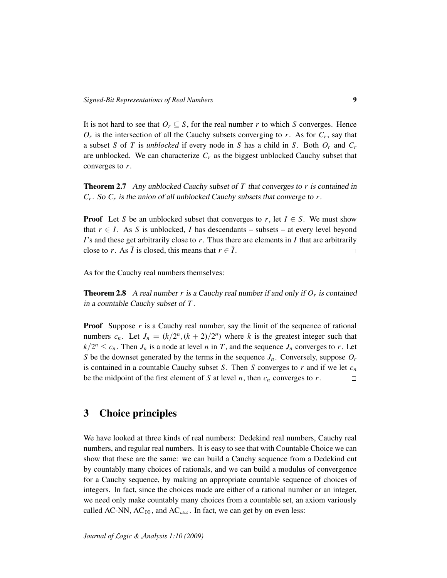It is not hard to see that  $O_r \subseteq S$ , for the real number *r* to which *S* converges. Hence  $O_r$  is the intersection of all the Cauchy subsets converging to *r*. As for  $C_r$ , say that a subset *S* of *T* is *unblocked* if every node in *S* has a child in *S*. Both *O<sup>r</sup>* and *C<sup>r</sup>* are unblocked. We can characterize  $C_r$  as the biggest unblocked Cauchy subset that converges to *r*.

Theorem 2.7 Any unblocked Cauchy subset of *T* that converges to *r* is contained in *Cr* . So *C<sup>r</sup>* is the union of all unblocked Cauchy subsets that converge to *r*.

**Proof** Let *S* be an unblocked subset that converges to *r*, let  $I \in S$ . We must show that  $r \in \overline{I}$ . As *S* is unblocked, *I* has descendants – subsets – at every level beyond *I*'s and these get arbitrarily close to *r*. Thus there are elements in *I* that are arbitrarily close to *r*. As  $\overline{I}$  is closed, this means that  $r \in \overline{I}$ .  $\Box$ 

As for the Cauchy real numbers themselves:

**Theorem 2.8** A real number  $r$  is a Cauchy real number if and only if  $O_r$  is contained in a countable Cauchy subset of *T* .

**Proof** Suppose *r* is a Cauchy real number, say the limit of the sequence of rational numbers  $c_n$ . Let  $J_n = (k/2^n, (k+2)/2^n)$  where *k* is the greatest integer such that  $k/2^n \leq c_n$ . Then  $J_n$  is a node at level *n* in *T*, and the sequence  $J_n$  converges to *r*. Let *S* be the downset generated by the terms in the sequence  $J_n$ . Conversely, suppose  $O_r$ is contained in a countable Cauchy subset *S*. Then *S* converges to *r* and if we let *c<sup>n</sup>* be the midpoint of the first element of *S* at level *n*, then  $c_n$  converges to *r*.  $\Box$ 

### 3 Choice principles

We have looked at three kinds of real numbers: Dedekind real numbers, Cauchy real numbers, and regular real numbers. It is easy to see that with Countable Choice we can show that these are the same: we can build a Cauchy sequence from a Dedekind cut by countably many choices of rationals, and we can build a modulus of convergence for a Cauchy sequence, by making an appropriate countable sequence of choices of integers. In fact, since the choices made are either of a rational number or an integer, we need only make countably many choices from a countable set, an axiom variously called AC-NN,  $AC_{00}$ , and  $AC_{\omega\omega}$ . In fact, we can get by on even less: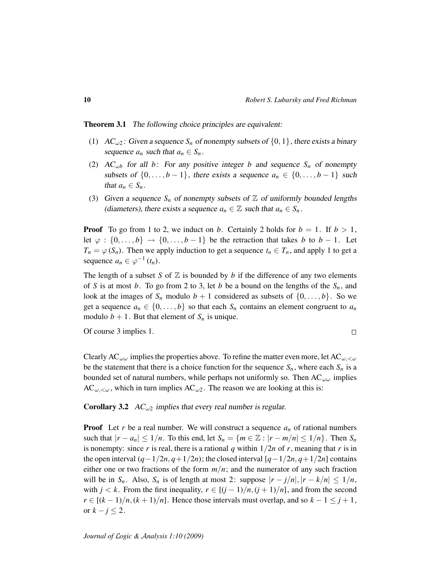Theorem 3.1 The following choice principles are equivalent:

- (1)  $AC_{\omega 2}$ : Given a sequence  $S_n$  of nonempty subsets of  $\{0, 1\}$ , there exists a binary sequence  $a_n$  such that  $a_n \in S_n$ .
- (2)  $AC_{\omega b}$  for all *b*: For any positive integer *b* and sequence  $S_n$  of nonempty subsets of  $\{0, \ldots, b-1\}$ , there exists a sequence  $a_n \in \{0, \ldots, b-1\}$  such that  $a_n \in S_n$ .
- (3) Given a sequence  $S_n$  of nonempty subsets of  $\mathbb Z$  of uniformly bounded lengths (diameters), there exists a sequence  $a_n \in \mathbb{Z}$  such that  $a_n \in S_n$ .

**Proof** To go from 1 to 2, we induct on *b*. Certainly 2 holds for  $b = 1$ . If  $b > 1$ , let  $\varphi : \{0, \ldots, b\} \to \{0, \ldots, b-1\}$  be the retraction that takes *b* to *b* − 1. Let  $T_n = \varphi(S_n)$ . Then we apply induction to get a sequence  $t_n \in T_n$ , and apply 1 to get a sequence  $a_n \in \varphi^{-1}(t_n)$ .

The length of a subset *S* of  $\mathbb Z$  is bounded by *b* if the difference of any two elements of *S* is at most *b*. To go from 2 to 3, let *b* be a bound on the lengths of the  $S_n$ , and look at the images of  $S_n$  modulo  $b + 1$  considered as subsets of  $\{0, \ldots, b\}$ . So we get a sequence  $a_n \in \{0, \ldots, b\}$  so that each  $S_n$  contains an element congruent to  $a_n$ modulo  $b + 1$ . But that element of  $S_n$  is unique.

Of course 3 implies 1.

 $\Box$ 

Clearly AC<sub>ωω</sub> implies the properties above. To refine the matter even more, let AC<sub>ω,  $\lt \omega$ </sub> be the statement that there is a choice function for the sequence  $S_n$ , where each  $S_n$  is a bounded set of natural numbers, while perhaps not uniformly so. Then  $AC_{\omega\omega}$  implies  $AC_{\omega,<\omega}$ , which in turn implies  $AC_{\omega2}$ . The reason we are looking at this is:

**Corollary 3.2** AC<sub> $\omega$ 2</sub> implies that every real number is regular.

**Proof** Let *r* be a real number. We will construct a sequence  $a_n$  of rational numbers such that  $|r - a_n| \leq 1/n$ . To this end, let  $S_n = \{m \in \mathbb{Z} : |r - m/n| \leq 1/n\}$ . Then  $S_n$ is nonempty: since *r* is real, there is a rational *q* within  $1/2n$  of *r*, meaning that *r* is in the open interval  $(q-1/2n, q+1/2n)$ ; the closed interval  $[q-1/2n, q+1/2n]$  contains either one or two fractions of the form  $m/n$ ; and the numerator of any such fraction will be in  $S_n$ . Also,  $S_n$  is of length at most 2: suppose  $|r - j/n|, |r - k/n| \leq 1/n$ , with  $j < k$ . From the first inequality,  $r \in [(j-1)/n, (j+1)/n]$ , and from the second *r* ∈  $[(k-1)/n, (k+1)/n]$ . Hence those intervals must overlap, and so  $k-1 \leq j+1$ , or  $k - j \leq 2$ .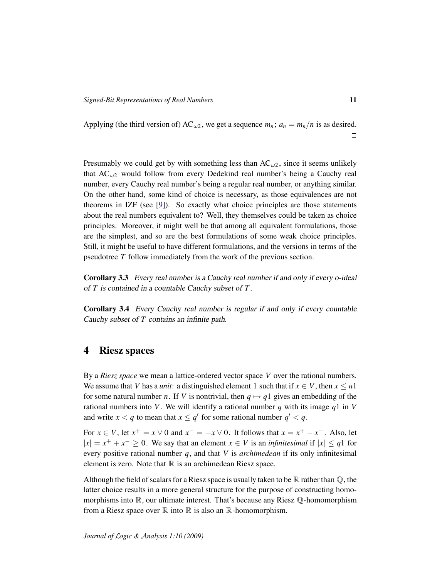Applying (the third version of) AC<sub>ω2</sub>, we get a sequence  $m_n$ ;  $a_n = m_n/n$  is as desired.  $\Box$ 

Presumably we could get by with something less than  $AC_{\omega_2}$ , since it seems unlikely that  $AC_{\omega2}$  would follow from every Dedekind real number's being a Cauchy real number, every Cauchy real number's being a regular real number, or anything similar. On the other hand, some kind of choice is necessary, as those equivalences are not theorems in IZF (see [\[9\]](#page-16-4)). So exactly what choice principles are those statements about the real numbers equivalent to? Well, they themselves could be taken as choice principles. Moreover, it might well be that among all equivalent formulations, those are the simplest, and so are the best formulations of some weak choice principles. Still, it might be useful to have different formulations, and the versions in terms of the pseudotree *T* follow immediately from the work of the previous section.

Corollary 3.3 Every real number is a Cauchy real number if and only if every o-ideal of *T* is contained in a countable Cauchy subset of *T* .

Corollary 3.4 Every Cauchy real number is regular if and only if every countable Cauchy subset of *T* contains an infinite path.

### 4 Riesz spaces

By a *Riesz space* we mean a lattice-ordered vector space *V* over the rational numbers. We assume that *V* has a *unit*: a distinguished element 1 such that if  $x \in V$ , then  $x \le n$ 1 for some natural number *n*. If *V* is nontrivial, then  $q \mapsto q_1$  gives an embedding of the rational numbers into *V*. We will identify a rational number *q* with its image *q*1 in *V* and write  $x < q$  to mean that  $x \le q'$  for some rational number  $q' < q$ .

For  $x \in V$ , let  $x^+ = x \vee 0$  and  $x^- = -x \vee 0$ . It follows that  $x = x^+ - x^-$ . Also, let  $|x| = x^+ + x^- \ge 0$ . We say that an element  $x \in V$  is an *infinitesimal* if  $|x| \le q$ 1 for every positive rational number *q*, and that *V* is *archimedean* if its only infinitesimal element is zero. Note that  $\mathbb R$  is an archimedean Riesz space.

Although the field of scalars for a Riesz space is usually taken to be  $\mathbb R$  rather than  $\mathbb Q$ , the latter choice results in a more general structure for the purpose of constructing homomorphisms into  $\mathbb{R}$ , our ultimate interest. That's because any Riesz  $\mathbb{Q}$ -homomorphism from a Riesz space over  $\mathbb R$  into  $\mathbb R$  is also an  $\mathbb R$ -homomorphism.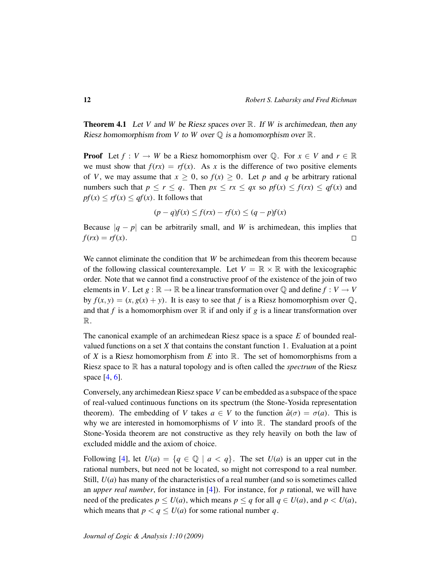Theorem 4.1 Let *V* and *W* be Riesz spaces over R. If *W* is archimedean, then any Riesz homomorphism from *V* to *W* over  $\mathbb Q$  is a homomorphism over  $\mathbb R$ .

**Proof** Let  $f: V \to W$  be a Riesz homomorphism over Q. For  $x \in V$  and  $r \in \mathbb{R}$ we must show that  $f(rx) = rf(x)$ . As *x* is the difference of two positive elements of *V*, we may assume that  $x \geq 0$ , so  $f(x) \geq 0$ . Let *p* and *q* be arbitrary rational numbers such that  $p \le r \le q$ . Then  $px \le rx \le qx$  so  $pf(x) \le f(rx) \le qf(x)$  and  $pf(x) \leq rf(x) \leq qf(x)$ . It follows that

$$
(p-q)f(x) \le f(rx) - rf(x) \le (q-p)f(x)
$$

Because  $|q - p|$  can be arbitrarily small, and *W* is archimedean, this implies that  $f(rx) = rf(x)$ .  $\Box$ 

We cannot eliminate the condition that *W* be archimedean from this theorem because of the following classical counterexample. Let  $V = \mathbb{R} \times \mathbb{R}$  with the lexicographic order. Note that we cannot find a constructive proof of the existence of the join of two elements in *V*. Let  $g : \mathbb{R} \to \mathbb{R}$  be a linear transformation over  $\mathbb{Q}$  and define  $f : V \to V$ by  $f(x, y) = (x, g(x) + y)$ . It is easy to see that f is a Riesz homomorphism over  $\mathbb{Q}$ , and that f is a homomorphism over  $\mathbb R$  if and only if g is a linear transformation over R.

The canonical example of an archimedean Riesz space is a space *E* of bounded realvalued functions on a set *X* that contains the constant function 1. Evaluation at a point of *X* is a Riesz homomorphism from *E* into  $\mathbb R$ . The set of homomorphisms from a Riesz space to  $\mathbb R$  has a natural topology and is often called the *spectrum* of the Riesz space [\[4,](#page-16-0) [6\]](#page-16-8).

Conversely, any archimedean Riesz space *V* can be embedded as a subspace of the space of real-valued continuous functions on its spectrum (the Stone-Yosida representation theorem). The embedding of *V* takes  $a \in V$  to the function  $\hat{a}(\sigma) = \sigma(a)$ . This is why we are interested in homomorphisms of  $V$  into  $\mathbb{R}$ . The standard proofs of the Stone-Yosida theorem are not constructive as they rely heavily on both the law of excluded middle and the axiom of choice.

Following [\[4\]](#page-16-0), let  $U(a) = \{q \in \mathbb{Q} \mid a < q\}$ . The set  $U(a)$  is an upper cut in the rational numbers, but need not be located, so might not correspond to a real number. Still, *U*(*a*) has many of the characteristics of a real number (and so is sometimes called an *upper real number*, for instance in [\[4\]](#page-16-0)). For instance, for *p* rational, we will have need of the predicates  $p \le U(a)$ , which means  $p \le q$  for all  $q \in U(a)$ , and  $p < U(a)$ , which means that  $p < q \le U(a)$  for some rational number q.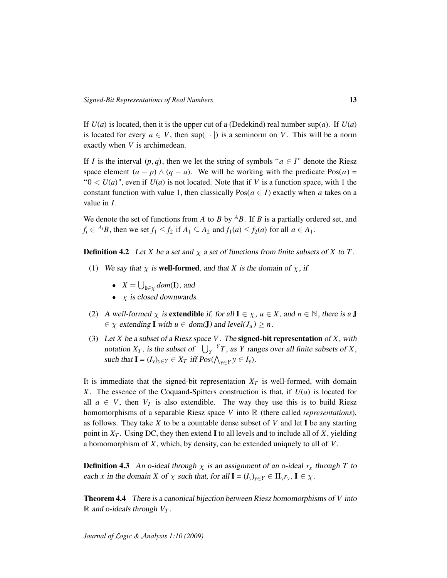If  $U(a)$  is located, then it is the upper cut of a (Dedekind) real number sup(*a*). If  $U(a)$ is located for every  $a \in V$ , then sup( $|\cdot|$ ) is a seminorm on *V*. This will be a norm exactly when *V* is archimedean.

If *I* is the interval  $(p, q)$ , then we let the string of symbols " $a \in I$ " denote the Riesz space element  $(a - p) \wedge (q - a)$ . We will be working with the predicate Pos $(a)$  = " $0 < U(a)$ ", even if  $U(a)$  is not located. Note that if V is a function space, with 1 the constant function with value 1, then classically  $Pos(a \in I)$  exactly when *a* takes on a value in *I*.

We denote the set of functions from *A* to *B* by  $^{A}B$ . If *B* is a partially ordered set, and  $f_i \in {}^{A_i}B$ , then we set  $f_1 \leq f_2$  if  $A_1 \subseteq A_2$  and  $f_1(a) \leq f_2(a)$  for all  $a \in A_1$ .

**Definition 4.2** Let *X* be a set and  $\chi$  a set of functions from finite subsets of *X* to *T*.

- (1) We say that  $\chi$  is **well-formed**, and that *X* is the domain of  $\chi$ , if
	- $X = \bigcup_{\mathbf{I} \in \chi} dom(\mathbf{I})$ , and
	- $\chi$  is closed downwards.
- (2) A well-formed  $\chi$  is extendible if, for all  $I \in \chi$ ,  $u \in X$ , and  $n \in \mathbb{N}$ , there is a J  $\in \chi$  extending **I** with  $u \in \text{dom}(\mathbf{J})$  and level( $J_u$ )  $\geq n$ .
- (3) Let *X* be a subset of a Riesz space *V*. The signed-bit representation of *X*, with notation  $X_T$ , is the subset of  $\bigcup_Y Y_T$ , as *Y* ranges over all finite subsets of *X*, such that  $I = (I_y)_{y \in Y} \in X_T$  iff  $Pos(\bigwedge_{y \in Y} y \in I_y)$ .

It is immediate that the signed-bit representation  $X_T$  is well-formed, with domain *X*. The essence of the Coquand-Spitters construction is that, if *U*(*a*) is located for all  $a \in V$ , then  $V_T$  is also extendible. The way they use this is to build Riesz homomorphisms of a separable Riesz space *V* into R (there called *representations*), as follows. They take *X* to be a countable dense subset of *V* and let I be any starting point in  $X_T$ . Using DC, they then extend **I** to all levels and to include all of *X*, yielding a homomorphism of *X*, which, by density, can be extended uniquely to all of *V*.

**Definition 4.3** An o-ideal through  $\chi$  is an assignment of an o-ideal  $r_x$  through T to each *x* in the domain *X* of  $\chi$  such that, for all  $I = (I_y)_{y \in Y} \in \Pi_y r_y$ ,  $I \in \chi$ .

Theorem 4.4 There is a canonical bijection between Riesz homomorphisms of *V* into  $\mathbb{R}$  and o-ideals through  $V_T$ .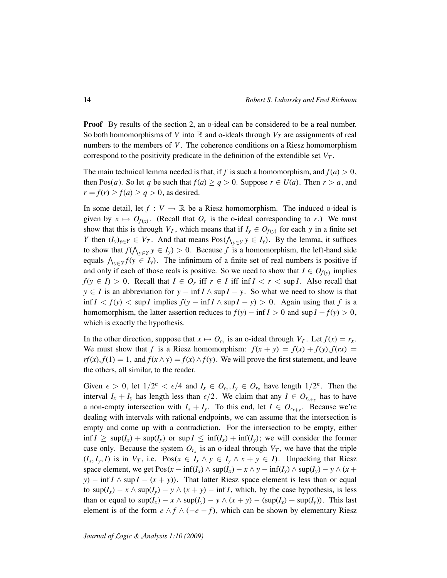**Proof** By results of the section 2, an o-ideal can be considered to be a real number. So both homomorphisms of *V* into  $\mathbb R$  and o-ideals through  $V_T$  are assignments of real numbers to the members of *V*. The coherence conditions on a Riesz homomorphism correspond to the positivity predicate in the definition of the extendible set  $V_T$ .

The main technical lemma needed is that, if *f* is such a homomorphism, and  $f(a) > 0$ , then Pos(*a*). So let *q* be such that  $f(a) \ge q > 0$ . Suppose  $r \in U(a)$ . Then  $r > a$ , and  $r = f(r) \ge f(a) \ge q > 0$ , as desired.

In some detail, let  $f: V \to \mathbb{R}$  be a Riesz homomorphism. The induced o-ideal is given by  $x \mapsto O_{f(x)}$ . (Recall that  $O_r$  is the o-ideal corresponding to *r*.) We must show that this is through *V<sub>T</sub>*, which means that if  $I_y \in O_{f(y)}$  for each *y* in a finite set *Y* then  $(I_y)_{y \in Y} \in V_T$ . And that means  $Pos(\bigwedge_{y \in Y} y \in I_y)$ . By the lemma, it suffices to show that  $f(\bigwedge_{y \in Y} y \in I_y) > 0$ . Because *f* is a homomorphism, the left-hand side equals  $\bigwedge_{y \in Y} f(y \in I_y)$ . The infinimum of a finite set of real numbers is positive if and only if each of those reals is positive. So we need to show that  $I \in O_{f(y)}$  implies *f*(*y*  $\in$  *I*) > 0. Recall that *I*  $\in$  *O<sub>r</sub>* iff *r*  $\in$  *I* iff inf *I* < *r* < sup *I*. Also recall that *y* ∈ *I* is an abbreviation for *y* − inf *I* ∧ sup *I* − *y*. So what we need to show is that inf *I* < *f*(*y*) < sup *I* implies *f*(*y* − inf *I* ∧ sup *I* − *y*) > 0. Again using that *f* is a homomorphism, the latter assertion reduces to  $f(y) - \inf I > 0$  and  $\sup I - f(y) > 0$ , which is exactly the hypothesis.

In the other direction, suppose that  $x \mapsto O_{r_x}$  is an o-ideal through  $V_T$ . Let  $f(x) = r_x$ . We must show that *f* is a Riesz homomorphism:  $f(x + y) = f(x) + f(y)$ ,  $f(rx) = f(x) + f(y)$ *rf*(*x*), *f*(1) = 1, and *f*( $x \wedge y$ ) = *f*( $x$ )  $\wedge$  *f*( $y$ ). We will prove the first statement, and leave the others, all similar, to the reader.

Given  $\epsilon > 0$ , let  $1/2^n < \epsilon/4$  and  $I_x \in O_{r_x}, I_y \in O_{r_y}$  have length  $1/2^n$ . Then the interval  $I_x + I_y$  has length less than  $\epsilon/2$ . We claim that any  $I \in O_{r_{x+y}}$  has to have a non-empty intersection with  $I_x + I_y$ . To this end, let  $I \in O_{r_{x+y}}$ . Because we're dealing with intervals with rational endpoints, we can assume that the intersection is empty and come up with a contradiction. For the intersection to be empty, either  $\inf I \ge \sup(I_x) + \sup(I_y)$  or  $\sup I \le \inf(I_x) + \inf(I_y)$ ; we will consider the former case only. Because the system  $O_{r_x}$  is an o-ideal through  $V_T$ , we have that the triple  $(I_x, I_y, I)$  is in  $V_T$ , i.e.  $Pos(x \in I_x \land y \in I_y \land x + y \in I)$ . Unpacking that Riesz space element, we get  $Pos(x - inf(I_x) \wedge sup(I_x) - x \wedge y - inf(I_y) \wedge sup(I_y) - y \wedge (x +$ *y*) − inf *I*  $\land$  sup *I* − (*x* + *y*)). That latter Riesz space element is less than or equal to  $\sup(I_x) - x \wedge \sup(I_y) - y \wedge (x + y) - \inf I$ , which, by the case hypothesis, is less than or equal to  $\sup(I_x) - x \wedge \sup(I_y) - y \wedge (x + y) - (\sup(I_x) + \sup(I_y))$ . This last element is of the form  $e \wedge f \wedge (-e - f)$ , which can be shown by elementary Riesz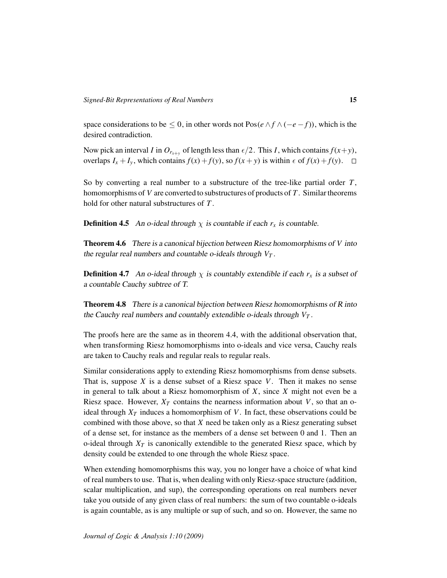space considerations to be  $\leq 0$ , in other words not Pos( $e \wedge f \wedge (-e - f)$ ), which is the desired contradiction.

Now pick an interval *I* in  $O_{r_{x+y}}$  of length less than  $\epsilon/2$ . This *I*, which contains  $f(x+y)$ , overlaps  $I_x + I_y$ , which contains  $f(x) + f(y)$ , so  $f(x + y)$  is within  $\epsilon$  of  $f(x) + f(y)$ .  $\Box$ 

So by converting a real number to a substructure of the tree-like partial order *T* , homomorphisms of *V* are converted to substructures of products of *T* . Similar theorems hold for other natural substructures of *T* .

**Definition 4.5** An o-ideal through  $\chi$  is countable if each  $r_x$  is countable.

Theorem 4.6 There is a canonical bijection between Riesz homomorphisms of *V* into the regular real numbers and countable o-ideals through  $V_T$ .

**Definition 4.7** An o-ideal through  $\chi$  is countably extendible if each  $r_x$  is a subset of a countable Cauchy subtree of T.

Theorem 4.8 There is a canonical bijection between Riesz homomorphisms of R into the Cauchy real numbers and countably extendible o-ideals through *V<sup>T</sup>* .

The proofs here are the same as in theorem 4.4, with the additional observation that, when transforming Riesz homomorphisms into o-ideals and vice versa, Cauchy reals are taken to Cauchy reals and regular reals to regular reals.

Similar considerations apply to extending Riesz homomorphisms from dense subsets. That is, suppose *X* is a dense subset of a Riesz space *V*. Then it makes no sense in general to talk about a Riesz homomorphism of *X*, since *X* might not even be a Riesz space. However,  $X_T$  contains the nearness information about *V*, so that an oideal through  $X_T$  induces a homomorphism of V. In fact, these observations could be combined with those above, so that *X* need be taken only as a Riesz generating subset of a dense set, for instance as the members of a dense set between 0 and 1. Then an o-ideal through  $X_T$  is canonically extendible to the generated Riesz space, which by density could be extended to one through the whole Riesz space.

When extending homomorphisms this way, you no longer have a choice of what kind of real numbers to use. That is, when dealing with only Riesz-space structure (addition, scalar multiplication, and sup), the corresponding operations on real numbers never take you outside of any given class of real numbers: the sum of two countable o-ideals is again countable, as is any multiple or sup of such, and so on. However, the same no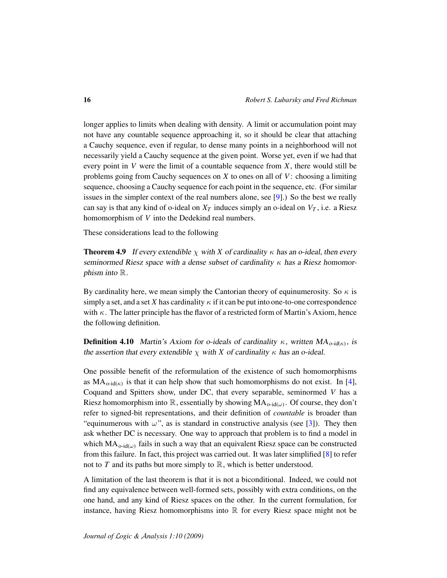longer applies to limits when dealing with density. A limit or accumulation point may not have any countable sequence approaching it, so it should be clear that attaching a Cauchy sequence, even if regular, to dense many points in a neighborhood will not necessarily yield a Cauchy sequence at the given point. Worse yet, even if we had that every point in *V* were the limit of a countable sequence from *X*, there would still be problems going from Cauchy sequences on *X* to ones on all of *V*: choosing a limiting sequence, choosing a Cauchy sequence for each point in the sequence, etc. (For similar issues in the simpler context of the real numbers alone, see [\[9\]](#page-16-4).) So the best we really can say is that any kind of o-ideal on  $X_T$  induces simply an o-ideal on  $V_T$ , i.e. a Riesz homomorphism of *V* into the Dedekind real numbers.

These considerations lead to the following

**Theorem 4.9** If every extendible  $\chi$  with *X* of cardinality  $\kappa$  has an o-ideal, then every seminormed Riesz space with a dense subset of cardinality  $\kappa$  has a Riesz homomorphism into  $\mathbb R$ .

By cardinality here, we mean simply the Cantorian theory of equinumerosity. So  $\kappa$  is simply a set, and a set X has cardinality  $\kappa$  if it can be put into one-to-one correspondence with  $\kappa$ . The latter principle has the flavor of a restricted form of Martin's Axiom, hence the following definition.

**Definition 4.10** Martin's Axiom for o-ideals of cardinality  $\kappa$ , written  $MA_{o\text{-}id(\kappa)}$ , is the assertion that every extendible  $\chi$  with *X* of cardinality  $\kappa$  has an o-ideal.

One possible benefit of the reformulation of the existence of such homomorphisms as  $MA_{o-id(\kappa)}$  is that it can help show that such homomorphisms do not exist. In [\[4\]](#page-16-0), Coquand and Spitters show, under DC, that every separable, seminormed *V* has a Riesz homomorphism into  $\mathbb R$ , essentially by showing  $MA_{o-id(\omega)}$ . Of course, they don't refer to signed-bit representations, and their definition of *countable* is broader than "equinumerous with  $\omega$ ", as is standard in constructive analysis (see [\[3\]](#page-16-5)). They then ask whether DC is necessary. One way to approach that problem is to find a model in which  $MA_{o-id(\omega)}$  fails in such a way that an equivalent Riesz space can be constructed from this failure. In fact, this project was carried out. It was later simplified [\[8\]](#page-16-2) to refer not to  $T$  and its paths but more simply to  $\mathbb{R}$ , which is better understood.

A limitation of the last theorem is that it is not a biconditional. Indeed, we could not find any equivalence between well-formed sets, possibly with extra conditions, on the one hand, and any kind of Riesz spaces on the other. In the current formulation, for instance, having Riesz homomorphisms into  $\mathbb R$  for every Riesz space might not be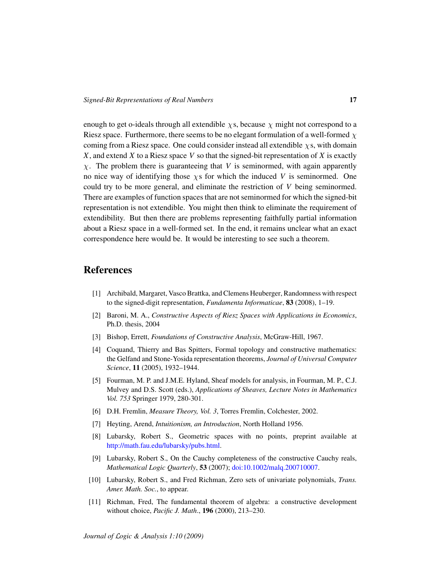enough to get o-ideals through all extendible  $\chi$ s, because  $\chi$  might not correspond to a Riesz space. Furthermore, there seems to be no elegant formulation of a well-formed  $\chi$ coming from a Riesz space. One could consider instead all extendible  $\chi$ s, with domain *X*, and extend *X* to a Riesz space *V* so that the signed-bit representation of *X* is exactly  $\chi$ . The problem there is guaranteeing that *V* is seminormed, with again apparently no nice way of identifying those  $\chi$ s for which the induced *V* is seminormed. One could try to be more general, and eliminate the restriction of *V* being seminormed. There are examples of function spaces that are not seminormed for which the signed-bit representation is not extendible. You might then think to eliminate the requirement of extendibility. But then there are problems representing faithfully partial information about a Riesz space in a well-formed set. In the end, it remains unclear what an exact correspondence here would be. It would be interesting to see such a theorem.

## **References**

- <span id="page-16-6"></span>[1] Archibald, Margaret, Vasco Brattka, and Clemens Heuberger, Randomness with respect to the signed-digit representation, *Fundamenta Informaticae*, 83 (2008), 1–19.
- [2] Baroni, M. A., *Constructive Aspects of Riesz Spaces with Applications in Economics*, Ph.D. thesis, 2004
- <span id="page-16-5"></span>[3] Bishop, Errett, *Foundations of Constructive Analysis*, McGraw-Hill, 1967.
- <span id="page-16-0"></span>[4] Coquand, Thierry and Bas Spitters, Formal topology and constructive mathematics: the Gelfand and Stone-Yosida representation theorems, *Journal of Universal Computer Science*, 11 (2005), 1932–1944.
- <span id="page-16-3"></span>[5] Fourman, M. P. and J.M.E. Hyland, Sheaf models for analysis, in Fourman, M. P., C.J. Mulvey and D.S. Scott (eds.), *Applications of Sheaves, Lecture Notes in Mathematics Vol. 753* Springer 1979, 280-301.
- <span id="page-16-8"></span>[6] D.H. Fremlin, *Measure Theory, Vol. 3*, Torres Fremlin, Colchester, 2002.
- <span id="page-16-7"></span>[7] Heyting, Arend, *Intuitionism, an Introduction*, North Holland 1956.
- <span id="page-16-2"></span>[8] Lubarsky, Robert S., Geometric spaces with no points, preprint available at [http://math.fau.edu/lubarsky/pubs.html.](http://math.fau.edu/lubarsky/pubs.html)
- <span id="page-16-4"></span>[9] Lubarsky, Robert S., On the Cauchy completeness of the constructive Cauchy reals, *Mathematical Logic Quarterly*, 53 (2007); [doi:10.1002/malq.200710007.](http://dx.doi.org/10.1002/malq.200710007)
- <span id="page-16-1"></span>[10] Lubarsky, Robert S., and Fred Richman, Zero sets of univariate polynomials, *Trans. Amer. Math. Soc.*, to appear.
- [11] Richman, Fred, The fundamental theorem of algebra: a constructive development without choice, *Pacific J. Math*., 196 (2000), 213–230.